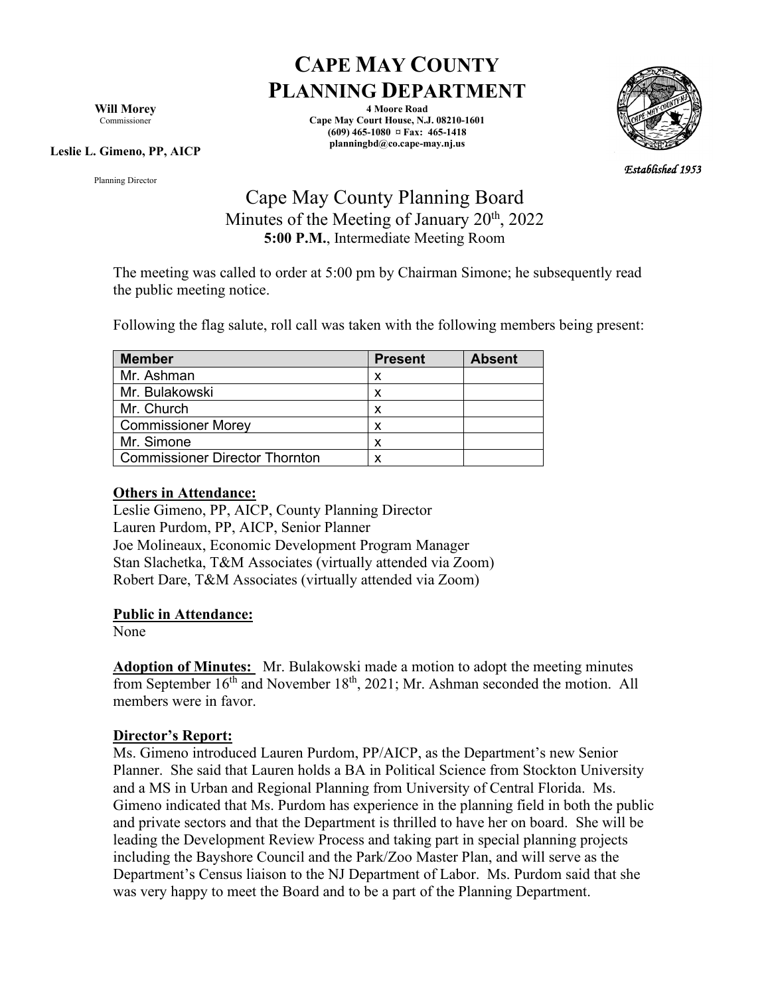**Will Morey** Commissioner

#### **Leslie L. Gimeno, PP, AICP**

Planning Director

# **CAPE MAY COUNTY PLANNING DEPARTMENT**

**4 Moore Road Cape May Court House, N.J. 08210-1601 (609) 465-1080 ¤ Fax: 465-1418 planningbd@co.cape-may.nj.us**



*Established 1953* 

## Cape May County Planning Board Minutes of the Meeting of January  $20<sup>th</sup>$ ,  $2022$ **5:00 P.M.**, Intermediate Meeting Room

The meeting was called to order at 5:00 pm by Chairman Simone; he subsequently read the public meeting notice.

Following the flag salute, roll call was taken with the following members being present:

| <b>Member</b>                         | <b>Present</b> | <b>Absent</b> |
|---------------------------------------|----------------|---------------|
| Mr. Ashman                            | x              |               |
| Mr. Bulakowski                        |                |               |
| Mr. Church                            | x              |               |
| <b>Commissioner Morey</b>             | x              |               |
| Mr. Simone                            | x              |               |
| <b>Commissioner Director Thornton</b> |                |               |

#### **Others in Attendance:**

Leslie Gimeno, PP, AICP, County Planning Director Lauren Purdom, PP, AICP, Senior Planner Joe Molineaux, Economic Development Program Manager Stan Slachetka, T&M Associates (virtually attended via Zoom) Robert Dare, T&M Associates (virtually attended via Zoom)

#### **Public in Attendance:**

None

**Adoption of Minutes:** Mr. Bulakowski made a motion to adopt the meeting minutes from September  $16<sup>th</sup>$  and November  $18<sup>th</sup>$ , 2021; Mr. Ashman seconded the motion. All members were in favor.

#### **Director's Report:**

Ms. Gimeno introduced Lauren Purdom, PP/AICP, as the Department's new Senior Planner. She said that Lauren holds a BA in Political Science from Stockton University and a MS in Urban and Regional Planning from University of Central Florida. Ms. Gimeno indicated that Ms. Purdom has experience in the planning field in both the public and private sectors and that the Department is thrilled to have her on board. She will be leading the Development Review Process and taking part in special planning projects including the Bayshore Council and the Park/Zoo Master Plan, and will serve as the Department's Census liaison to the NJ Department of Labor. Ms. Purdom said that she was very happy to meet the Board and to be a part of the Planning Department.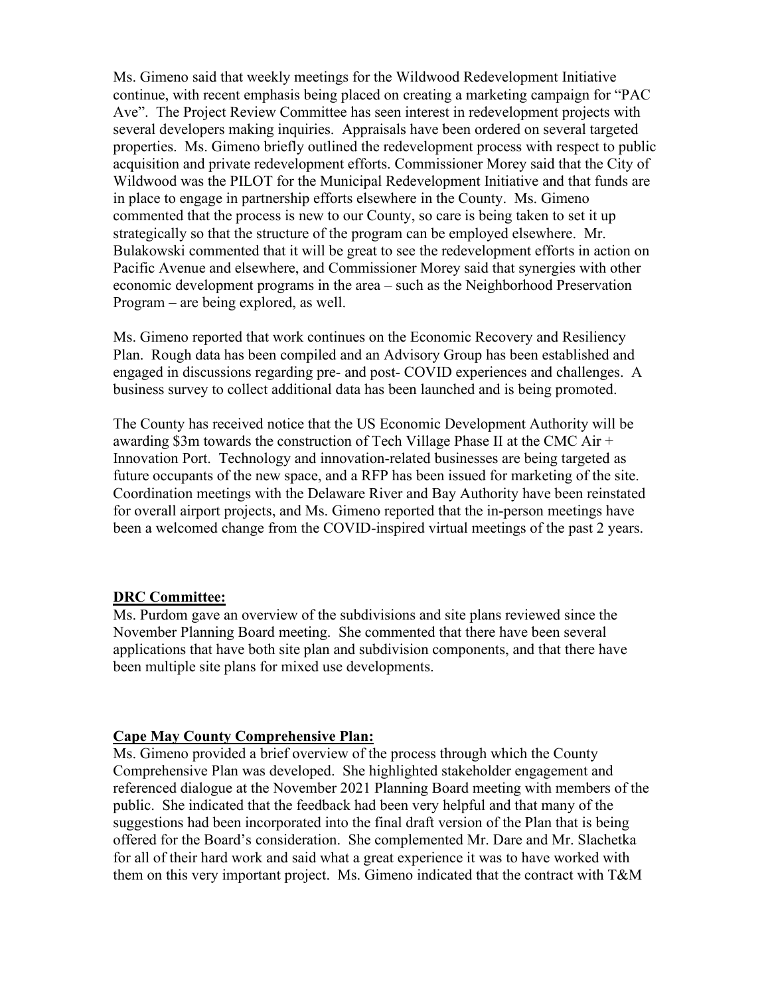Ms. Gimeno said that weekly meetings for the Wildwood Redevelopment Initiative continue, with recent emphasis being placed on creating a marketing campaign for "PAC Ave". The Project Review Committee has seen interest in redevelopment projects with several developers making inquiries. Appraisals have been ordered on several targeted properties. Ms. Gimeno briefly outlined the redevelopment process with respect to public acquisition and private redevelopment efforts. Commissioner Morey said that the City of Wildwood was the PILOT for the Municipal Redevelopment Initiative and that funds are in place to engage in partnership efforts elsewhere in the County. Ms. Gimeno commented that the process is new to our County, so care is being taken to set it up strategically so that the structure of the program can be employed elsewhere. Mr. Bulakowski commented that it will be great to see the redevelopment efforts in action on Pacific Avenue and elsewhere, and Commissioner Morey said that synergies with other economic development programs in the area – such as the Neighborhood Preservation Program – are being explored, as well.

Ms. Gimeno reported that work continues on the Economic Recovery and Resiliency Plan. Rough data has been compiled and an Advisory Group has been established and engaged in discussions regarding pre- and post- COVID experiences and challenges. A business survey to collect additional data has been launched and is being promoted.

The County has received notice that the US Economic Development Authority will be awarding \$3m towards the construction of Tech Village Phase II at the CMC Air + Innovation Port. Technology and innovation-related businesses are being targeted as future occupants of the new space, and a RFP has been issued for marketing of the site. Coordination meetings with the Delaware River and Bay Authority have been reinstated for overall airport projects, and Ms. Gimeno reported that the in-person meetings have been a welcomed change from the COVID-inspired virtual meetings of the past 2 years.

#### **DRC Committee:**

Ms. Purdom gave an overview of the subdivisions and site plans reviewed since the November Planning Board meeting. She commented that there have been several applications that have both site plan and subdivision components, and that there have been multiple site plans for mixed use developments.

#### **Cape May County Comprehensive Plan:**

Ms. Gimeno provided a brief overview of the process through which the County Comprehensive Plan was developed. She highlighted stakeholder engagement and referenced dialogue at the November 2021 Planning Board meeting with members of the public. She indicated that the feedback had been very helpful and that many of the suggestions had been incorporated into the final draft version of the Plan that is being offered for the Board's consideration. She complemented Mr. Dare and Mr. Slachetka for all of their hard work and said what a great experience it was to have worked with them on this very important project. Ms. Gimeno indicated that the contract with T&M